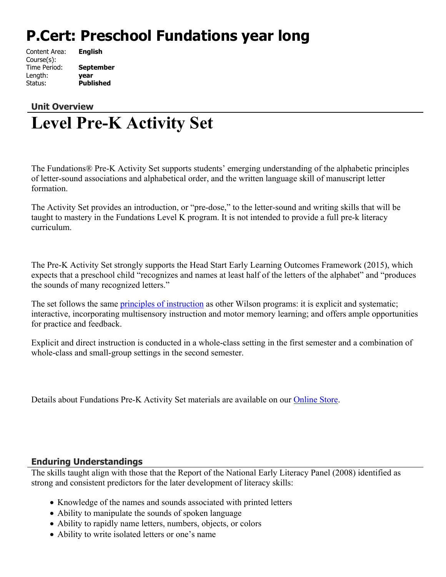# **P.Cert: Preschool Fundations year long**

| Content Area: |  |
|---------------|--|
| Course(s):    |  |
| Time Period:  |  |
| Length:       |  |
| Status:       |  |

**English** September Length: **year Published** 

## **Unit Overview Level Pre-K Activity Set**

The Fundations® Pre-K Activity Set supports students' emerging understanding of the alphabetic principles of letter-sound associations and alphabetical order, and the written language skill of manuscript letter formation.

The Activity Set provides an introduction, or "pre-dose," to the letter-sound and writing skills that will be taught to mastery in the Fundations Level K program. It is not intended to provide a full pre-k literacy curriculum.

The Pre-K Activity Set strongly supports the Head Start Early Learning Outcomes Framework (2015), which expects that a preschool child "recognizes and names at least half of the letters of the alphabet" and "produces the sounds of many recognized letters."

The set follows the same [principles of instruction](http://www.wilsonlanguage.com/programs/highlights/instructional-principles/) as other Wilson programs: it is explicit and systematic; interactive, incorporating multisensory instruction and motor memory learning; and offers ample opportunities for practice and feedback.

Explicit and direct instruction is conducted in a whole-class setting in the first semester and a combination of whole-class and small-group settings in the second semester.

Details about Fundations Pre-K Activity Set materials are available on our [Online Store](https://store.wilsonlanguage.com/fundations/pre-k/).

#### **Enduring Understandings**

The skills taught align with those that the Report of the National Early Literacy Panel (2008) identified as strong and consistent predictors for the later development of literacy skills:

- Knowledge of the names and sounds associated with printed letters
- Ability to manipulate the sounds of spoken language
- Ability to rapidly name letters, numbers, objects, or colors
- Ability to write isolated letters or one's name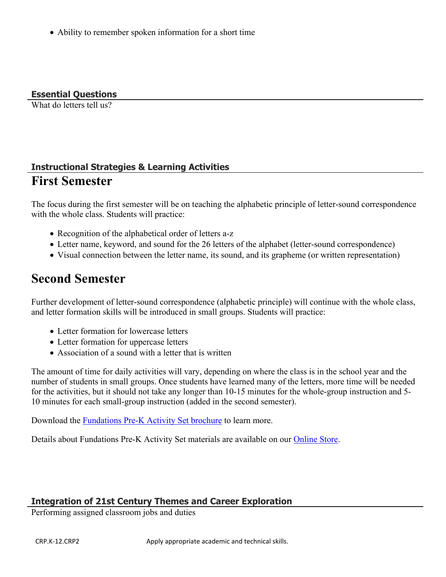Ability to remember spoken information for a short time

**Essential Questions**

What do letters tell us?

### **Instructional Strategies & Learning Activities First Semester**

The focus during the first semester will be on teaching the alphabetic principle of letter-sound correspondence with the whole class. Students will practice:

- Recognition of the alphabetical order of letters a-z
- Letter name, keyword, and sound for the 26 letters of the alphabet (letter-sound correspondence)
- Visual connection between the letter name, its sound, and its grapheme (or written representation)

## **Second Semester**

Further development of letter-sound correspondence (alphabetic principle) will continue with the whole class, and letter formation skills will be introduced in small groups. Students will practice:

- Letter formation for lowercase letters
- Letter formation for uppercase letters
- Association of a sound with a letter that is written

The amount of time for daily activities will vary, depending on where the class is in the school year and the number of students in small groups. Once students have learned many of the letters, more time will be needed for the activities, but it should not take any longer than 10-15 minutes for the whole-group instruction and 5- 10 minutes for each small-group instruction (added in the second semester).

Download the [Fundations Pre-K Activity Set brochure](http://www.wilsonlanguage.com/wp-content/uploads/2015/08/L172_Fundations_Pre_K_Bulletin.pdf) to learn more.

Details about Fundations Pre-K Activity Set materials are available on our [Online Store](https://store.wilsonlanguage.com/fundations/pre-k/).

#### **Integration of 21st Century Themes and Career Exploration**

Performing assigned classroom jobs and duties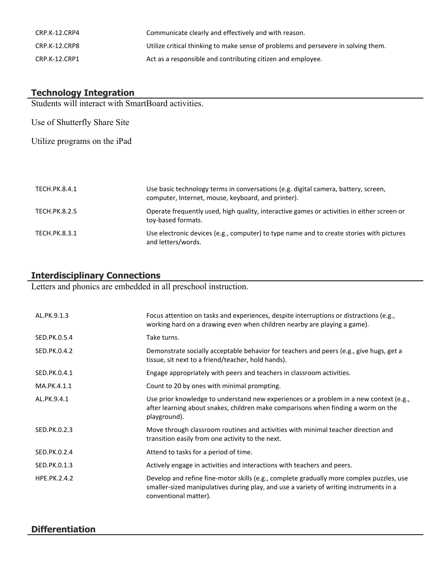| CRP.K-12.CRP4 | Communicate clearly and effectively and with reason.                               |
|---------------|------------------------------------------------------------------------------------|
| CRP.K-12.CRP8 | Utilize critical thinking to make sense of problems and persevere in solving them. |
| CRP.K-12.CRP1 | Act as a responsible and contributing citizen and employee.                        |

#### **Technology Integration**

Students will interact with SmartBoard activities.

Use of Shutterfly Share Site

Utilize programs on the iPad

| TECH.PK.8.4.1        | Use basic technology terms in conversations (e.g. digital camera, battery, screen,<br>computer, Internet, mouse, keyboard, and printer). |
|----------------------|------------------------------------------------------------------------------------------------------------------------------------------|
| TECH.PK.8.2.5        | Operate frequently used, high quality, interactive games or activities in either screen or<br>toy-based formats.                         |
| <b>TECH.PK.8.3.1</b> | Use electronic devices (e.g., computer) to type name and to create stories with pictures<br>and letters/words.                           |

#### **Interdisciplinary Connections**

Letters and phonics are embedded in all preschool instruction.

| AL.PK.9.1.3         | Focus attention on tasks and experiences, despite interruptions or distractions (e.g.,<br>working hard on a drawing even when children nearby are playing a game).                                          |
|---------------------|-------------------------------------------------------------------------------------------------------------------------------------------------------------------------------------------------------------|
| SED.PK.0.5.4        | Take turns.                                                                                                                                                                                                 |
| SED.PK.0.4.2        | Demonstrate socially acceptable behavior for teachers and peers (e.g., give hugs, get a<br>tissue, sit next to a friend/teacher, hold hands).                                                               |
| SED.PK.0.4.1        | Engage appropriately with peers and teachers in classroom activities.                                                                                                                                       |
| MA.PK.4.1.1         | Count to 20 by ones with minimal prompting.                                                                                                                                                                 |
| AL.PK.9.4.1         | Use prior knowledge to understand new experiences or a problem in a new context (e.g.,<br>after learning about snakes, children make comparisons when finding a worm on the<br>playground).                 |
| SED.PK.0.2.3        | Move through classroom routines and activities with minimal teacher direction and<br>transition easily from one activity to the next.                                                                       |
| SED.PK.0.2.4        | Attend to tasks for a period of time.                                                                                                                                                                       |
| SED.PK.0.1.3        | Actively engage in activities and interactions with teachers and peers.                                                                                                                                     |
| <b>HPE.PK.2.4.2</b> | Develop and refine fine-motor skills (e.g., complete gradually more complex puzzles, use<br>smaller-sized manipulatives during play, and use a variety of writing instruments in a<br>conventional matter). |

#### **Differentiation**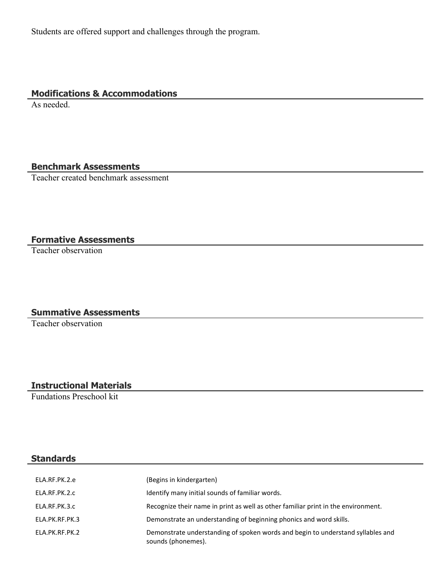Students are offered support and challenges through the program.

#### **Modifications & Accommodations**

As needed.

#### **Benchmark Assessments**

Teacher created benchmark assessment

#### **Formative Assessments**

Teacher observation

#### **Summative Assessments**

Teacher observation

#### **Instructional Materials**

Fundations Preschool kit

#### **Standards**

| ELA.RF.PK.2.e  | (Begins in kindergarten)                                                                              |
|----------------|-------------------------------------------------------------------------------------------------------|
| ELA.RF.PK.2.c  | Identify many initial sounds of familiar words.                                                       |
| ELA.RF.PK.3.c  | Recognize their name in print as well as other familiar print in the environment.                     |
| ELA.PK.RF.PK.3 | Demonstrate an understanding of beginning phonics and word skills.                                    |
| ELA.PK.RF.PK.2 | Demonstrate understanding of spoken words and begin to understand syllables and<br>sounds (phonemes). |